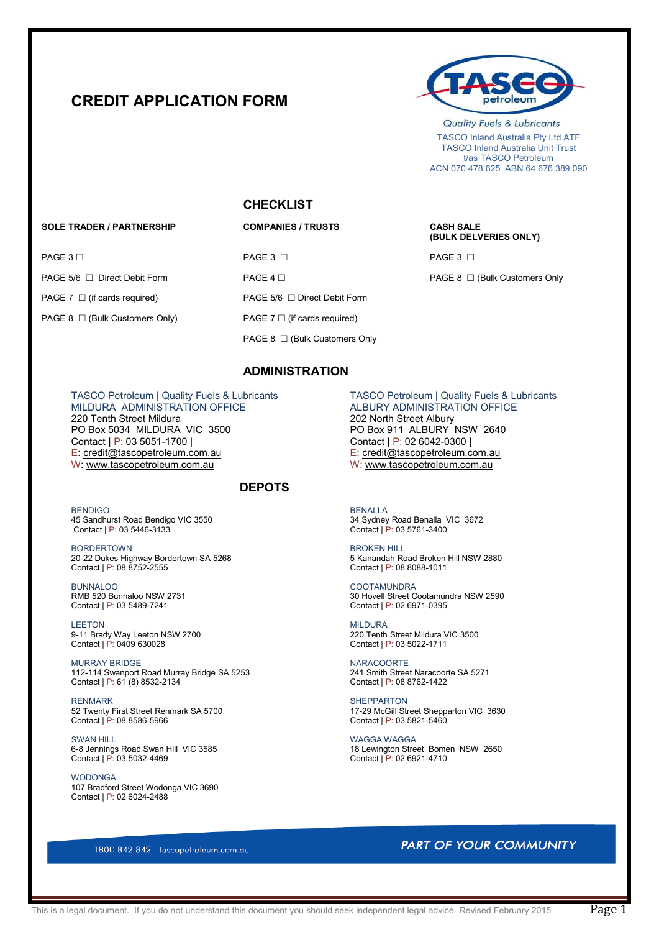# **CREDIT APPLICATION FORM**



**Quality Fuels & Lubricants**  TASCO Inland Australia Pty Ltd ATF TASCO Inland Australia Unit Trust t/as TASCO Petroleum ACN 070 478 625 ABN 64 676 389 090

 **(BULK DELVERIES ONLY)** 

### **CHECKLIST**

### **SOLE TRADER / PARTNERSHIP COMPANIES / TRUSTS CASH SALE**

 $\begin{array}{ccccc} \textsf{PAGE 3} \; \Box \end{array}$  PAGE 3  $\Box$ PAGE 5/6 □ Direct Debit Form PAGE 4 □ PAGE 4 □ PAGE 8 □ (Bulk Customers Only PAGE 7 □ (if cards required) PAGE 5/6 □ Direct Debit Form

PAGE 8  $\Box$  (Bulk Customers Only) PAGE 7  $\Box$  (if cards required)

PAGE 8 □ (Bulk Customers Only

### **ADMINISTRATION**

MILDURA ADMINISTRATION OFFICE 220 Tenth Street Mildura 202 North Street Albury<br>
202 North Street Albury<br>
202 North Street Albury 2640<br>
202 North Street Albury 2640 PO Box 5034 MILDURA VIC 3500<br>Contact | P: 03 5051-1700 | E: [credit@tascopetroleum.com.au](mailto:melissa.carkeek@tascopetroleum.com.au) E: [credit@tascopetroleum.com.au](mailto:melissa.carkeek@tascopetroleum.com.au)  W: [www.tascopetroleum.com.au](http://www.tascopetroleum.com.au/) W: [www.tascopetroleum.com.au](http://www.tascopetroleum.com.au/)

### **DEPOTS**

BENDIGO BENALLA 45 Sandhurst Road Bendigo VIC 3550 34 Sydney Road Benalla VIC 3672 Contact | P: 03 5446-3133 Contact | P: 03 5761-3400

BORDERTOWN<br>20-22 Dukes Highway Bordertown SA 5268 1990 1991 1991 1991 1992 1994 1995 1998 1998 1998 1998 1999 1998 1999 1 20-22 Dukes Highway Bordertown SA 5268 5 Kanandah Road Broken Contact | P: 08 8752-2555 5 (2011) Contact | P: 08 8752-2555

BUNNALOO COOTAMUNDRA

**LEETON** MILDURA 9-11 Brady Way Leeton NSW 2700 220 Tenth Street Mildura VIC 3500 200 Tenth Street Mildura VIC 3500<br>
Contact | P: 0409 630028 200 28

MURRAY BRIDGE<br>112-114 Swanport Road Murray Bridge SA 5253 241 Smith Street Naracoorte SA 5271 112-114 Swanport Road Murray Bridge SA 5253 241 Smith Street Naracoor<br>
Contact | P: 61 (8) 8532-2134 22<br>
2011 Contact | P: 08 8762-1422 Contact | P: 61 (8) 8532-2134

52 Twenty First Street Renmark SA 5700<br>
Contact | P: 08 8586-5966<br>
Contact | P: 03 5821-5460 Contact |  $P: 08 8586 - 5966$ 

SWAN HILL<br>
6-8 Jennings Road Swan Hill VIC 3585<br>
6-8 Jennings Road Swan Hill VIC 3585 Contact |  $\overline{P}$ : 03 5032-4469

**WODONGA** 107 Bradford Street Wodonga VIC 3690 Contact | P: 02 6024-2488

TASCO Petroleum | Quality Fuels & Lubricants TASCO Petroleum | Quality Fuels & Lubricants<br>MILDURA ADMINISTRATION OFFICE ALBURY ADMINISTRATION OFFICE Contact | P: 02 6042-0300 |<br>E: credit@tascopetroleum.com.au

RMB 520 Bunnaloo NSW 2731 30 Hovell Street Cootamundra NSW 2590<br>
Contact | P: 03 5489-7241 30 Hovell Street | P: 02 6971-0395 Contact | P: 02 6971-0395

Contact | P: 03 5022-1711

RENMARK<br>
52 Twenty First Street Renmark SA 5700 (1999) 17-29 McGill Street Shepparton VIC 3630

18 Lewington Street Bomen NSW 2650<br>Contact | P: 02 6921-4710

1800 842 842 tascopetroleum.com.au

### **PART OF YOUR COMMUNITY**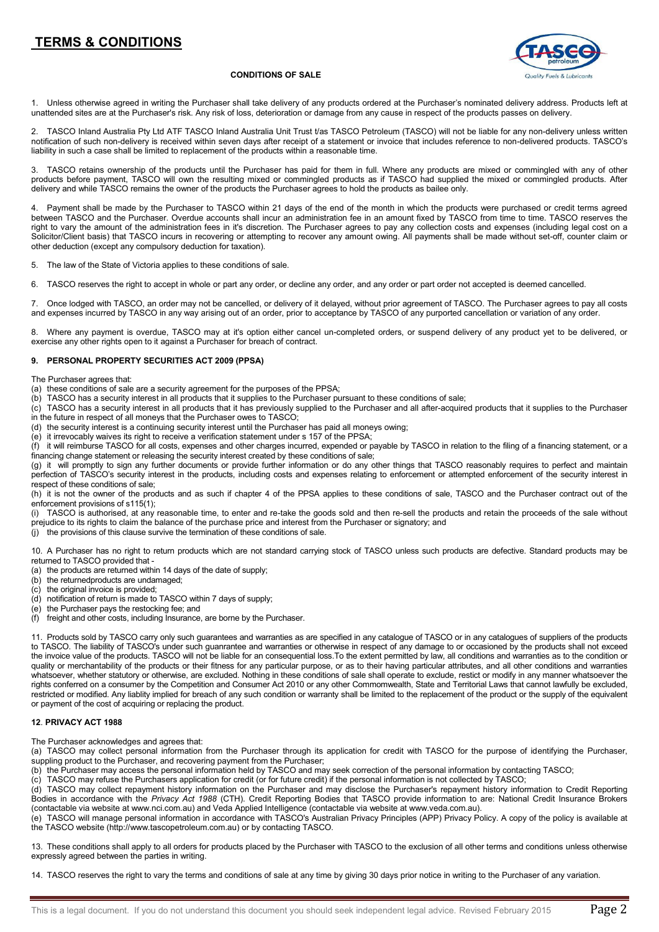## **TERMS & CONDITIONS**



### **CONDITIONS OF SALE**

1. Unless otherwise agreed in writing the Purchaser shall take delivery of any products ordered at the Purchaser's nominated delivery address. Products left at unattended sites are at the Purchaser's risk. Any risk of loss, deterioration or damage from any cause in respect of the products passes on delivery.

2. TASCO Inland Australia Pty Ltd ATF TASCO Inland Australia Unit Trust t/as TASCO Petroleum (TASCO) will not be liable for any non-delivery unless written notification of such non-delivery is received within seven days after receipt of a statement or invoice that includes reference to non-delivered products. TASCO's liability in such a case shall be limited to replacement of the products within a reasonable time.

3. TASCO retains ownership of the products until the Purchaser has paid for them in full. Where any products are mixed or commingled with any of other products before payment, TASCO will own the resulting mixed or commingled products as if TASCO had supplied the mixed or commingled products. After delivery and while TASCO remains the owner of the products the Purchaser agrees to hold the products as bailee only.

4. Payment shall be made by the Purchaser to TASCO within 21 days of the end of the month in which the products were purchased or credit terms agreed between TASCO and the Purchaser. Overdue accounts shall incur an administration fee in an amount fixed by TASCO from time to time. TASCO reserves the right to vary the amount of the administration fees in it's discretion. The Purchaser agrees to pay any collection costs and expenses (including legal cost on a Solicitor/Client basis) that TASCO incurs in recovering or attempting to recover any amount owing. All payments shall be made without set-off, counter claim or other deduction (except any compulsory deduction for taxation).

5. The law of the State of Victoria applies to these conditions of sale.

6. TASCO reserves the right to accept in whole or part any order, or decline any order, and any order or part order not accepted is deemed cancelled.

7. Once lodged with TASCO, an order may not be cancelled, or delivery of it delayed, without prior agreement of TASCO. The Purchaser agrees to pay all costs and expenses incurred by TASCO in any way arising out of an order, prior to acceptance by TASCO of any purported cancellation or variation of any order.

Where any payment is overdue, TASCO may at it's option either cancel un-completed orders, or suspend delivery of any product yet to be delivered, or exercise any other rights open to it against a Purchaser for breach of contract.

### **9. PERSONAL PROPERTY SECURITIES ACT 2009 (PPSA)**

The Purchaser agrees that:

(a) these conditions of sale are a security agreement for the purposes of the PPSA;

(b) TASCO has a security interest in all products that it supplies to the Purchaser pursuant to these conditions of sale;

(c) TASCO has a security interest in all products that it has previously supplied to the Purchaser and all after-acquired products that it supplies to the Purchaser in the future in respect of all moneys that the Purchaser owes to TASCO;

(d) the security interest is a continuing security interest until the Purchaser has paid all moneys owing;

(e) it irrevocably waives its right to receive a verification statement under s 157 of the PPSA;

(f) it will reimburse TASCO for all costs, expenses and other charges incurred, expended or payable by TASCO in relation to the filing of a financing statement, or a financing change statement or releasing the security interest created by these conditions of sale;

(g) it will promptly to sign any further documents or provide further information or do any other things that TASCO reasonably requires to perfect and maintain perfection of TASCO's security interest in the products, including costs and expenses relating to enforcement or attempted enforcement of the security interest in respect of these conditions of sale;

(h) it is not the owner of the products and as such if chapter 4 of the PPSA applies to these conditions of sale, TASCO and the Purchaser contract out of the enforcement provisions of s115(1);

(i) TASCO is authorised, at any reasonable time, to enter and re-take the goods sold and then re-sell the products and retain the proceeds of the sale without prejudice to its rights to claim the balance of the purchase price and interest from the Purchaser or signatory; and

(j) the provisions of this clause survive the termination of these conditions of sale.

10. A Purchaser has no right to return products which are not standard carrying stock of TASCO unless such products are defective. Standard products may be returned to TASCO provided that -

- (a) the products are returned within 14 days of the date of supply;
- (b) the returnedproducts are undamaged;
- (c) the original invoice is provided;  $\overrightarrow{d}$  notification of return is made to TASCO within 7 days of supply;
- (e) the Purchaser pays the restocking fee; and
- freight and other costs, including Insurance, are borne by the Purchaser.

11. Products sold by TASCO carry only such guarantees and warranties as are specified in any catalogue of TASCO or in any catalogues of suppliers of the products to TASCO. The liability of TASCO's under such guanrantee and warranties or otherwise in respect of any damage to or occasioned by the products shall not exceed the invoice value of the products. TASCO will not be liable for an consequential loss.To the extent permitted by law, all conditions and warranties as to the condition or quality or merchantability of the products or their fitness for any particular purpose, or as to their having particular attributes, and all other conditions and warranties whatsoever, whether statutory or otherwise, are excluded. Nothing in these conditions of sale shall operate to exclude, restict or modify in any manner whatsoever the rights conferred on a consumer by the Competition and Consumer Act 2010 or any other Commomwealth, State and Territorial Laws that cannot lawfully be excluded, restricted or modified. Any liablity implied for breach of any such condition or warranty shall be limited to the replacement of the product or the supply of the equivalent or payment of the cost of acquiring or replacing the product.

#### **12**. **PRIVACY ACT 1988**

The Purchaser acknowledges and agrees that:

(a) TASCO may collect personal information from the Purchaser through its application for credit with TASCO for the purpose of identifying the Purchaser, suppling product to the Purchaser, and recovering payment from the Purchaser;

(b) the Purchaser may access the personal information held by TASCO and may seek correction of the personal information by contacting TASCO;

 $(c)$  TASCO may refuse the Purchasers application for credit (or for future credit) if the personal information is not collected by TASCO;

(d) TASCO may collect repayment history information on the Purchaser and may disclose the Purchaser's repayment history information to Credit Reporting Bodies in accordance with the *Privacy Act 1988* (CTH). Credit Reporting Bodies that TASCO provide information to are: National Credit Insurance Brokers (contactable via website at www.nci.com.au) and Veda Applied Intelligence (contactable via website at www.veda.com.au).

(e) TASCO will manage personal information in accordance with TASCO's Australian Privacy Principles (APP) Privacy Policy. A copy of the policy is available at the TASCO website (http://www.tascopetroleum.com.au) or by contacting TASCO.

13. These conditions shall apply to all orders for products placed by the Purchaser with TASCO to the exclusion of all other terms and conditions unless otherwise expressly agreed between the parties in writing.

14. TASCO reserves the right to vary the terms and conditions of sale at any time by giving 30 days prior notice in writing to the Purchaser of any variation.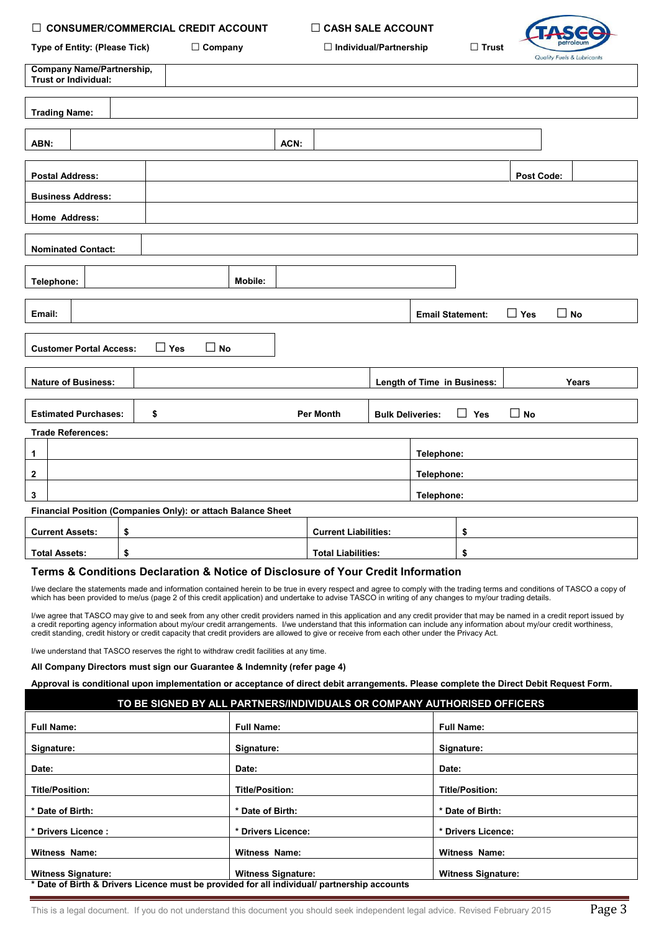### **□ CONSUMER/COMMERCIAL CREDIT ACCOUNT □ CASH SALE ACCOUNT**



| Type of Entity: (Please Tick) |  |
|-------------------------------|--|
|-------------------------------|--|

**Type of Entity: (Please Tick) □ Company □ Individual/Partnership □ Trust** 

|                                                              | <b>Company Name/Partnership,</b><br>Trust or Individual:      |                            |         |                             |                         |                             |            |                   | <b>Roamy Focia &amp; Lopricains</b> |
|--------------------------------------------------------------|---------------------------------------------------------------|----------------------------|---------|-----------------------------|-------------------------|-----------------------------|------------|-------------------|-------------------------------------|
|                                                              | <b>Trading Name:</b>                                          |                            |         |                             |                         |                             |            |                   |                                     |
| ABN:                                                         |                                                               |                            | ACN:    |                             |                         |                             |            |                   |                                     |
|                                                              | <b>Postal Address:</b>                                        |                            |         |                             |                         |                             |            | <b>Post Code:</b> |                                     |
|                                                              | <b>Business Address:</b>                                      |                            |         |                             |                         |                             |            |                   |                                     |
|                                                              | Home Address:                                                 |                            |         |                             |                         |                             |            |                   |                                     |
|                                                              | <b>Nominated Contact:</b>                                     |                            |         |                             |                         |                             |            |                   |                                     |
| Telephone:                                                   |                                                               |                            | Mobile: |                             |                         |                             |            |                   |                                     |
| Email:                                                       |                                                               |                            |         |                             |                         | <b>Email Statement:</b>     |            | $\Box$ Yes        | $\square$ No                        |
|                                                              | <b>Customer Portal Access:</b>                                | $\square$ No<br>$\Box$ Yes |         |                             |                         |                             |            |                   |                                     |
|                                                              | <b>Nature of Business:</b>                                    |                            |         |                             |                         | Length of Time in Business: |            |                   | Years                               |
|                                                              | <b>Estimated Purchases:</b>                                   | \$                         |         | <b>Per Month</b>            | <b>Bulk Deliveries:</b> |                             | $\Box$ Yes | $\Box$ No         |                                     |
|                                                              | <b>Trade References:</b>                                      |                            |         |                             |                         |                             |            |                   |                                     |
| 1                                                            | Telephone:                                                    |                            |         |                             |                         |                             |            |                   |                                     |
| 2                                                            | Telephone:                                                    |                            |         |                             |                         |                             |            |                   |                                     |
| 3<br>Telephone:                                              |                                                               |                            |         |                             |                         |                             |            |                   |                                     |
| Financial Position (Companies Only): or attach Balance Sheet |                                                               |                            |         |                             |                         |                             |            |                   |                                     |
|                                                              | <b>Current Assets:</b>                                        | \$                         |         | <b>Current Liabilities:</b> |                         |                             | \$         |                   |                                     |
|                                                              | <b>Total Assets:</b><br>\$<br><b>Total Liabilities:</b><br>\$ |                            |         |                             |                         |                             |            |                   |                                     |

### **Terms & Conditions Declaration & Notice of Disclosure of Your Credit Information**

I/we declare the statements made and information contained herein to be true in every respect and agree to comply with the trading terms and conditions of TASCO a copy of which has been provided to me/us (page 2 of this credit application) and undertake to advise TASCO in writing of any changes to my/our trading details.

I/we agree that TASCO may give to and seek from any other credit providers named in this application and any credit provider that may be named in a credit report issued by a credit reporting agency information about my/our credit arrangements. I/we understand that this information can include any information about my/our credit worthiness, credit standing, credit history or credit capacity that credit providers are allowed to give or receive from each other under the Privacy Act.

I/we understand that TASCO reserves the right to withdraw credit facilities at any time.

### **All Company Directors must sign our Guarantee & Indemnity (refer page 4)**

**Approval is conditional upon implementation or acceptance of direct debit arrangements. Please complete the Direct Debit Request Form.**

### **TO BE SIGNED BY ALL PARTNERS/INDIVIDUALS OR COMPANY AUTHORISED OFFICERS**

| <b>Full Name:</b>                                                                           | <b>Full Name:</b>         | <b>Full Name:</b>         |
|---------------------------------------------------------------------------------------------|---------------------------|---------------------------|
|                                                                                             |                           |                           |
| Signature:                                                                                  | Signature:                | Signature:                |
| Date:                                                                                       | Date:                     | Date:                     |
| <b>Title/Position:</b>                                                                      | <b>Title/Position:</b>    | <b>Title/Position:</b>    |
|                                                                                             |                           |                           |
| * Date of Birth:                                                                            | * Date of Birth:          | * Date of Birth:          |
| * Drivers Licence:                                                                          | * Drivers Licence:        | * Drivers Licence:        |
|                                                                                             |                           |                           |
| Witness Name:                                                                               | Witness Name:             | <b>Witness Name:</b>      |
|                                                                                             |                           |                           |
| <b>Witness Signature:</b>                                                                   | <b>Witness Signature:</b> | <b>Witness Signature:</b> |
| * Date of Birth & Drivers Licence must be provided for all individual/ partnership accounts |                           |                           |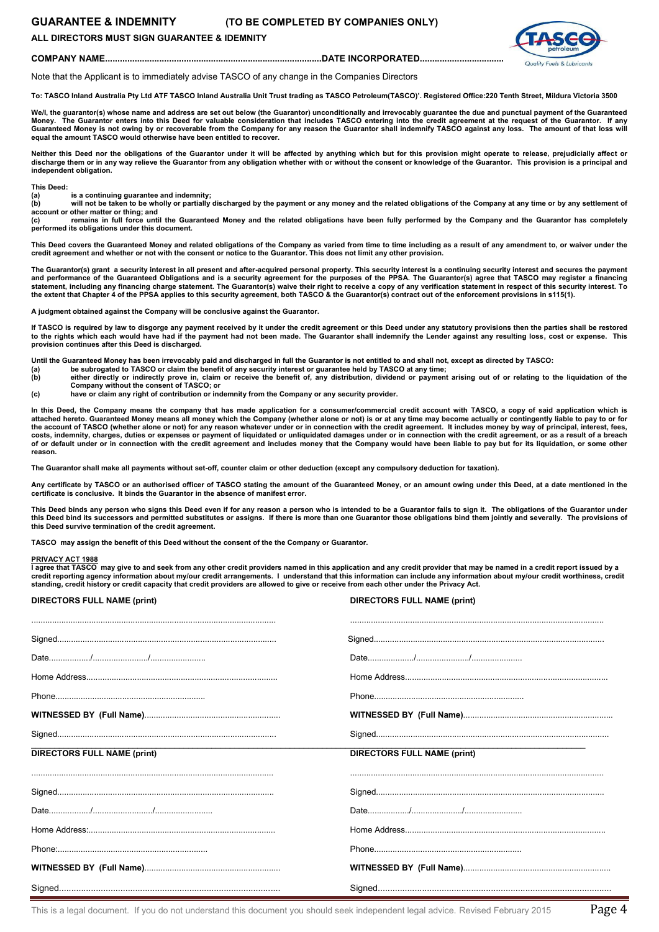### **GUARANTEE & INDEMNITY (TO BE COMPLETED BY COMPANIES ONLY)**

### **ALL DIRECTORS MUST SIGN GUARANTEE & IDEMNITY**



**COMPANY NAME........................................................................................DATE INCORPORATED..................................**

Note that the Applicant is to immediately advise TASCO of any change in the Companies Directors

**To: TASCO Inland Australia Pty Ltd ATF TASCO Inland Australia Unit Trust trading as TASCO Petroleum(TASCO)'. Registered Office:220 Tenth Street, Mildura Victoria 3500**

We/l, the guarantor(s) whose name and address are set out below (the Guarantor) unconditionally and irrevocably guarantee the due and punctual payment of the Guaranteed **Money. The Guarantor enters into this Deed for valuable consideration that includes TASCO entering into the credit agreement at the request of the Guarantor. If any**  Guaranteed Money is not owing by or recoverable from the Company for any reason the Guarantor shall indemnify TASCO against any loss. The amount of that loss will **equal the amount TASCO would otherwise have been entitled to recover.** 

**Neither this Deed nor the obligations of the Guarantor under it will be affected by anything which but for this provision might operate to release, prejudicially affect or discharge them or in any way relieve the Guarantor from any obligation whether with or without the consent or knowledge of the Guarantor. This provision is a principal and independent obligation.**

**This Deed:** 

(a) is a continuing guarantee and indemnity;<br>(b) will not be taken to be wholly or partially discharged by the payment or any money and the related obligations of the Company at any time or by any settlement of **account or other matter or thing; and**<br> **(c)** remains in full force until

**(c) remains in full force until the Guaranteed Money and the related obligations have been fully performed by the Company and the Guarantor has completely performed its obligations under this document.**

**This Deed covers the Guaranteed Money and related obligations of the Company as varied from time to time including as a result of any amendment to, or waiver under the credit agreement and whether or not with the consent or notice to the Guarantor. This does not limit any other provision.**

The Guarantor(s) grant a security interest in all present and after-acquired personal property. This security interest is a continuing security interest and secures the payment and performance of the Guaranteed Obligations and is a security agreement for the purposes of the PPSA. The Guarantor(s) agree that TASCO may register a financing<br>statement, including any financing charge statement. The Gu **the extent that Chapter 4 of the PPSA applies to this security agreement, both TASCO & the Guarantor(s) contract out of the enforcement provisions in s115(1).**

**A judgment obtained against the Company will be conclusive against the Guarantor.** 

If TASCO is required by law to disgorge any payment received by it under the credit agreement or this Deed under any statutory provisions then the parties shall be restored<br>to the rights which each would have had if the pa **provision continues after this Deed is discharged.** 

**Until the Guaranteed Money has been irrevocably paid and discharged in full the Guarantor is not entitled to and shall not, except as directed by TASCO:** 

- **(a) be subrogated to TASCO or claim the benefit of any security interest or guarantee held by TASCO at any time;**
- **(b) either directly or indirectly prove in, claim or receive the benefit of, any distribution, dividend or payment arising out of or relating to the liquidation of the Company without the consent of TASCO; or**
- **(c) have or claim any right of contribution or indemnity from the Company or any security provider.**

**In this Deed, the Company means the company that has made application for a consumer/commercial credit account with TASCO, a copy of said application which is attached hereto. Guaranteed Money means all money which the Company (whether alone or not) is or at any time may become actually or contingently liable to pay to or for**  the account of TASCO (whether alone or not) for any reason whatever under or in connection with the credit agreement. It includes money by way of principal, interest, fees,<br>costs, indemnity, charges, duties or expenses or **of or default under or in connection with the credit agreement and includes money that the Company would have been liable to pay but for its liquidation, or some other reason.**

**The Guarantor shall make all payments without set-off, counter claim or other deduction (except any compulsory deduction for taxation).**

**Any certificate by TASCO or an authorised officer of TASCO stating the amount of the Guaranteed Money, or an amount owing under this Deed, at a date mentioned in the certificate is conclusive. It binds the Guarantor in the absence of manifest error.**

This Deed binds any person who signs this Deed even if for any reason a person who is intended to be a Guarantor fails to sign it. The obligations of the Guarantor under **this Deed bind its successors and permitted substitutes or assigns. If there is more than one Guarantor those obligations bind them jointly and severally. The provisions of this Deed survive termination of the credit agreement.**

**TASCO may assign the benefit of this Deed without the consent of the the Company or Guarantor.** 

#### **PRIVACY ACT 1988**

**I agree that TASCO may give to and seek from any other credit providers named in this application and any credit provider that may be named in a credit report issued by a credit reporting agency information about my/our credit arrangements. I understand that this information can include any information about my/our credit worthiness, credit standing, credit history or credit capacity that credit providers are allowed to give or receive from each other under the Privacy Act.** 

| <b>DIRECTORS FULL NAME (print)</b> | <b>DIRECTORS FULL NAME (print)</b> |
|------------------------------------|------------------------------------|
|                                    |                                    |
|                                    |                                    |
|                                    |                                    |
|                                    |                                    |
|                                    |                                    |
|                                    |                                    |
| <b>DIRECTORS FULL NAME (print)</b> | <b>DIRECTORS FULL NAME (print)</b> |
|                                    |                                    |
|                                    |                                    |
|                                    |                                    |
|                                    |                                    |
|                                    |                                    |
|                                    |                                    |
|                                    |                                    |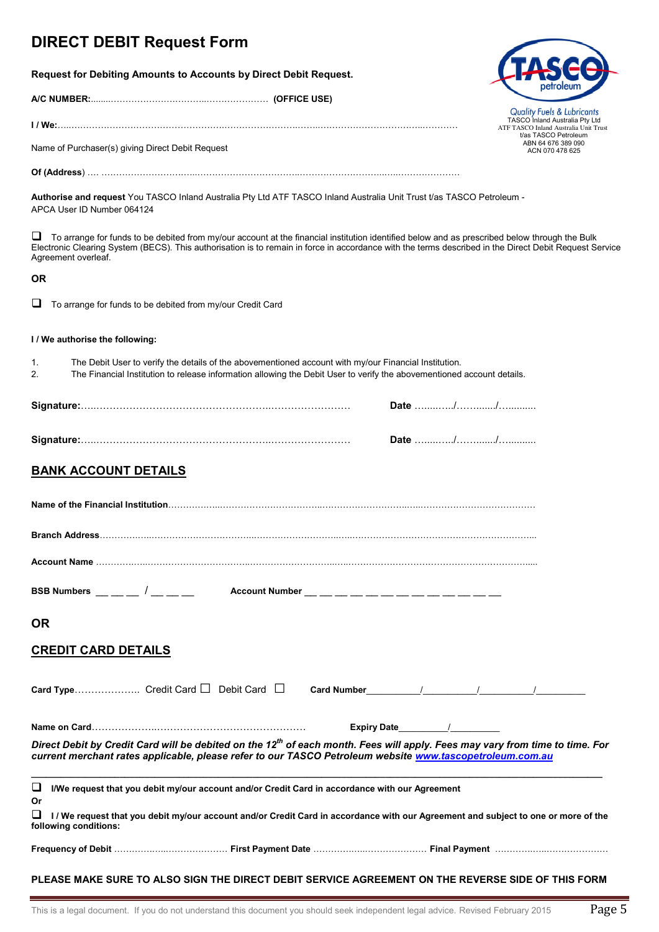# **DIRECT DEBIT Request Form**

**Request for Debiting Amounts to Accounts by Direct Debit Request.** 

**A/C NUMBER:**........………………….………..………………… **(OFFICE USE)** 

**I / We:**…..…………………………………………….…………………….……..……………………………..…………

Name of Purchaser(s) giving Direct Debit Request

**Of (Address**) …. ……………………….…..……………………………..………………………..…..…………………

**Authorise and request** You TASCO Inland Australia Pty Ltd ATF TASCO Inland Australia Unit Trust t/as TASCO Petroleum - APCA User ID Number 064124

 To arrange for funds to be debited from my/our account at the financial institution identified below and as prescribed below through the Bulk Electronic Clearing System (BECS). This authorisation is to remain in force in accordance with the terms described in the Direct Debit Request Service Agreement overleaf.

### **OR**

 $\Box$  To arrange for funds to be debited from my/our Credit Card

### **I / We authorise the following:**

1. The Debit User to verify the details of the abovementioned account with my/our Financial Institution.

2. The Financial Institution to release information allowing the Debit User to verify the abovementioned account details.

### **BANK ACCOUNT DETAILS**

| BSB Numbers __ _ _ / _ _ _ _ Mccount Number _ _ _ _ _ _ _ _ _ _ _ _ _ _ _ _ _                                                                                                                                                                        |  |  |  |
|------------------------------------------------------------------------------------------------------------------------------------------------------------------------------------------------------------------------------------------------------|--|--|--|
| <b>OR</b>                                                                                                                                                                                                                                            |  |  |  |
| <b>CREDIT CARD DETAILS</b>                                                                                                                                                                                                                           |  |  |  |
| <b>Card Type</b> Credit Card $\Box$ Debit Card $\Box$ <b>Card Number</b> $\qquad \qquad /$ $\qquad \qquad /$                                                                                                                                         |  |  |  |
| Name on Card……………………………………………………………                                                                                                                                                                                                                  |  |  |  |
| Direct Debit by Credit Card will be debited on the 12 <sup>th</sup> of each month. Fees will apply. Fees may vary from time to time. For<br>current merchant rates applicable, please refer to our TASCO Petroleum website www.tascopetroleum.com.au |  |  |  |
| $\Box$<br>I/We request that you debit my/our account and/or Credit Card in accordance with our Agreement<br>Or                                                                                                                                       |  |  |  |
| ⊔<br>I/We request that you debit my/our account and/or Credit Card in accordance with our Agreement and subject to one or more of the<br>following conditions:                                                                                       |  |  |  |
|                                                                                                                                                                                                                                                      |  |  |  |



TASCO Inland Australia Pty Ltd ATF TASCO Inland Australia Unit Trust t/as TASCO Petroleum ABN 64 676 389 090 ACN 070 478 625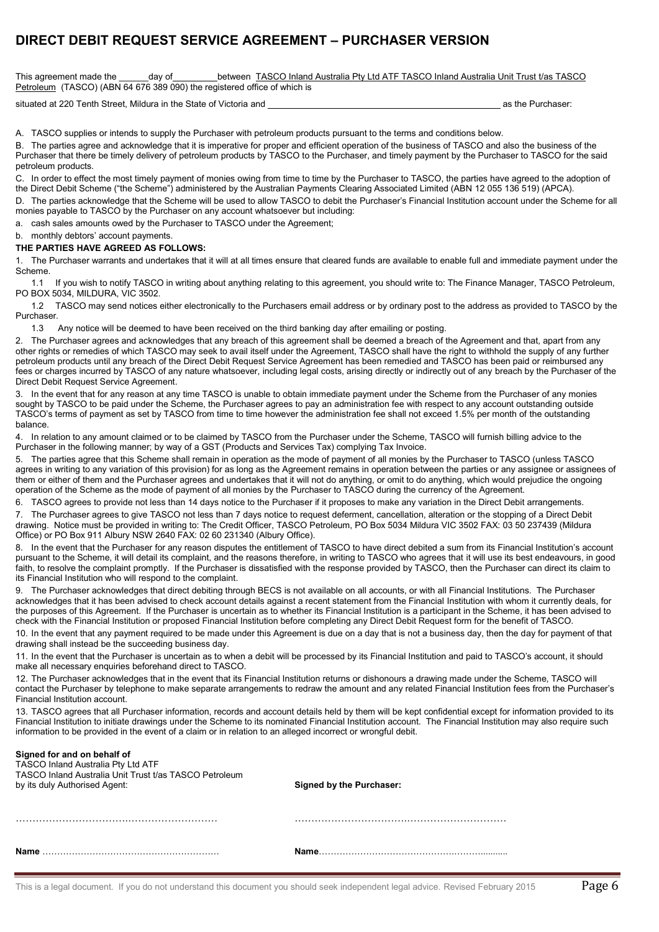## **DIRECT DEBIT REQUEST SERVICE AGREEMENT – PURCHASER VERSION**

This agreement made the \_\_\_\_\_\_day of \_\_\_\_\_\_\_\_\_between TASCO Inland Australia Pty Ltd ATF TASCO Inland Australia Unit Trust t/as TASCO Petroleum (TASCO) (ABN 64 676 389 090) the registered office of which is

situated at 220 Tenth Street, Mildura in the State of Victoria and as the Purchaser: as the Purchaser:

A. TASCO supplies or intends to supply the Purchaser with petroleum products pursuant to the terms and conditions below.

B. The parties agree and acknowledge that it is imperative for proper and efficient operation of the business of TASCO and also the business of the Purchaser that there be timely delivery of petroleum products by TASCO to the Purchaser, and timely payment by the Purchaser to TASCO for the said petroleum products.

C. In order to effect the most timely payment of monies owing from time to time by the Purchaser to TASCO, the parties have agreed to the adoption of the Direct Debit Scheme ("the Scheme") administered by the Australian Payments Clearing Associated Limited (ABN 12 055 136 519) (APCA).

D. The parties acknowledge that the Scheme will be used to allow TASCO to debit the Purchaser's Financial Institution account under the Scheme for all monies payable to TASCO by the Purchaser on any account whatsoever but including:

a. cash sales amounts owed by the Purchaser to TASCO under the Agreement;

### b. monthly debtors' account payments.

### **THE PARTIES HAVE AGREED AS FOLLOWS:**

The Purchaser warrants and undertakes that it will at all times ensure that cleared funds are available to enable full and immediate payment under the Scheme.

 1.1 If you wish to notify TASCO in writing about anything relating to this agreement, you should write to: The Finance Manager, TASCO Petroleum, PO BOX 5034, MILDURA, VIC 3502.

 1.2 TASCO may send notices either electronically to the Purchasers email address or by ordinary post to the address as provided to TASCO by the Purchaser.

1.3 Any notice will be deemed to have been received on the third banking day after emailing or posting.

2. The Purchaser agrees and acknowledges that any breach of this agreement shall be deemed a breach of the Agreement and that, apart from any other rights or remedies of which TASCO may seek to avail itself under the Agreement, TASCO shall have the right to withhold the supply of any further petroleum products until any breach of the Direct Debit Request Service Agreement has been remedied and TASCO has been paid or reimbursed any fees or charges incurred by TASCO of any nature whatsoever, including legal costs, arising directly or indirectly out of any breach by the Purchaser of the Direct Debit Request Service Agreement.

3. In the event that for any reason at any time TASCO is unable to obtain immediate payment under the Scheme from the Purchaser of any monies sought by TASCO to be paid under the Scheme, the Purchaser agrees to pay an administration fee with respect to any account outstanding outside TASCO's terms of payment as set by TASCO from time to time however the administration fee shall not exceed 1.5% per month of the outstanding balance.

4. In relation to any amount claimed or to be claimed by TASCO from the Purchaser under the Scheme, TASCO will furnish billing advice to the Purchaser in the following manner; by way of a GST (Products and Services Tax) complying Tax Invoice.

5. The parties agree that this Scheme shall remain in operation as the mode of payment of all monies by the Purchaser to TASCO (unless TASCO agrees in writing to any variation of this provision) for as long as the Agreement remains in operation between the parties or any assignee or assignees of them or either of them and the Purchaser agrees and undertakes that it will not do anything, or omit to do anything, which would prejudice the ongoing operation of the Scheme as the mode of payment of all monies by the Purchaser to TASCO during the currency of the Agreement.

6. TASCO agrees to provide not less than 14 days notice to the Purchaser if it proposes to make any variation in the Direct Debit arrangements.

7. The Purchaser agrees to give TASCO not less than 7 days notice to request deferment, cancellation, alteration or the stopping of a Direct Debit drawing. Notice must be provided in writing to: The Credit Officer, TASCO Petroleum, PO Box 5034 Mildura VIC 3502 FAX: 03 50 237439 (Mildura Office) or PO Box 911 Albury NSW 2640 FAX: 02 60 231340 (Albury Office).

8. In the event that the Purchaser for any reason disputes the entitlement of TASCO to have direct debited a sum from its Financial Institution's account pursuant to the Scheme, it will detail its complaint, and the reasons therefore, in writing to TASCO who agrees that it will use its best endeavours, in good faith, to resolve the complaint promptly. If the Purchaser is dissatisfied with the response provided by TASCO, then the Purchaser can direct its claim to its Financial Institution who will respond to the complaint.

9. The Purchaser acknowledges that direct debiting through BECS is not available on all accounts, or with all Financial Institutions. The Purchaser acknowledges that it has been advised to check account details against a recent statement from the Financial Institution with whom it currently deals, for the purposes of this Agreement. If the Purchaser is uncertain as to whether its Financial Institution is a participant in the Scheme, it has been advised to check with the Financial Institution or proposed Financial Institution before completing any Direct Debit Request form for the benefit of TASCO.

10. In the event that any payment required to be made under this Agreement is due on a day that is not a business day, then the day for payment of that drawing shall instead be the succeeding business day.

11. In the event that the Purchaser is uncertain as to when a debit will be processed by its Financial Institution and paid to TASCO's account, it should make all necessary enquiries beforehand direct to TASCO.

12. The Purchaser acknowledges that in the event that its Financial Institution returns or dishonours a drawing made under the Scheme, TASCO will contact the Purchaser by telephone to make separate arrangements to redraw the amount and any related Financial Institution fees from the Purchaser's Financial Institution account.

13. TASCO agrees that all Purchaser information, records and account details held by them will be kept confidential except for information provided to its Financial Institution to initiate drawings under the Scheme to its nominated Financial Institution account. The Financial Institution may also require such information to be provided in the event of a claim or in relation to an alleged incorrect or wrongful debit.

### **Signed for and on behalf of**

| <b>Name</b>                                                                                                                          | Name                            |
|--------------------------------------------------------------------------------------------------------------------------------------|---------------------------------|
|                                                                                                                                      |                                 |
| <b>TASCO Inland Australia Pty Ltd ATF</b><br>TASCO Inland Australia Unit Trust t/as TASCO Petroleum<br>by its duly Authorised Agent: | <b>Signed by the Purchaser:</b> |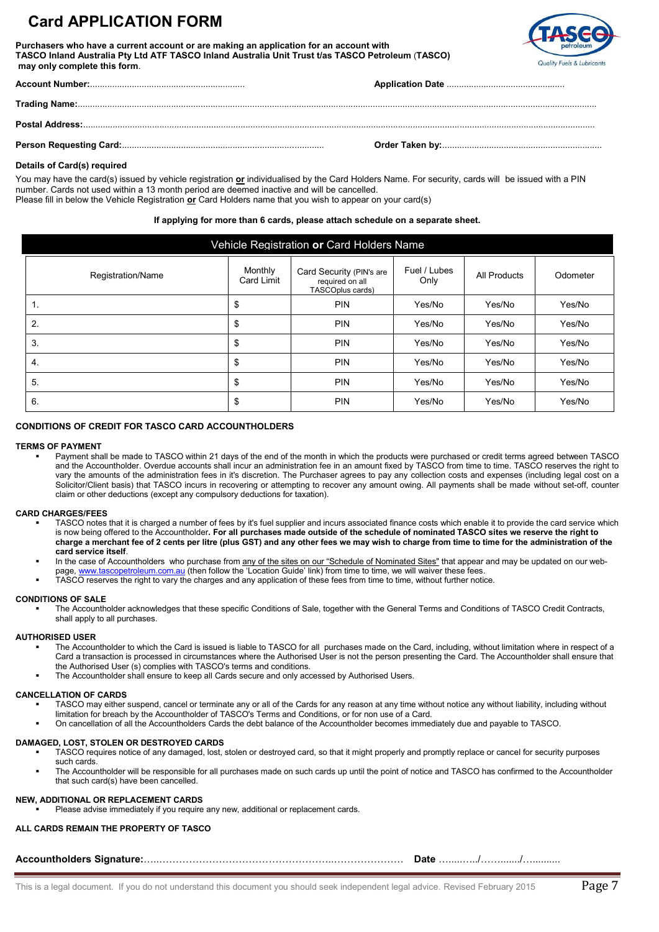# **Card APPLICATION FORM**

**Purchasers who have a current account or are making an application for an account with TASCO Inland Australia Pty Ltd ATF TASCO Inland Australia Unit Trust t/as TASCO Petroleum** (**TASCO) may only complete this form**.



### **Details of Card(s) required**

You may have the card(s) issued by vehicle registration **or** individualised by the Card Holders Name. For security, cards will be issued with a PIN number. Cards not used within a 13 month period are deemed inactive and will be cancelled. Please fill in below the Vehicle Registration **or** Card Holders name that you wish to appear on your card(s)

### **If applying for more than 6 cards, please attach schedule on a separate sheet.**

| Vehicle Registration or Card Holders Name |                              |                                                                 |                      |              |          |  |  |
|-------------------------------------------|------------------------------|-----------------------------------------------------------------|----------------------|--------------|----------|--|--|
| Registration/Name                         | Monthly<br><b>Card Limit</b> | Card Security (PIN's are<br>required on all<br>TASCOplus cards) | Fuel / Lubes<br>Only | All Products | Odometer |  |  |
| 1.                                        | \$                           | <b>PIN</b>                                                      | Yes/No               | Yes/No       | Yes/No   |  |  |
| 2.                                        | \$                           | <b>PIN</b>                                                      | Yes/No               | Yes/No       | Yes/No   |  |  |
| 3.                                        | \$                           | <b>PIN</b>                                                      | Yes/No               | Yes/No       | Yes/No   |  |  |
| 4.                                        | \$                           | <b>PIN</b>                                                      | Yes/No               | Yes/No       | Yes/No   |  |  |
| 5.                                        | \$                           | <b>PIN</b>                                                      | Yes/No               | Yes/No       | Yes/No   |  |  |
| 6.                                        | \$                           | <b>PIN</b>                                                      | Yes/No               | Yes/No       | Yes/No   |  |  |

### **CONDITIONS OF CREDIT FOR TASCO CARD ACCOUNTHOLDERS**

#### **TERMS OF PAYMENT**

 Payment shall be made to TASCO within 21 days of the end of the month in which the products were purchased or credit terms agreed between TASCO and the Accountholder. Overdue accounts shall incur an administration fee in an amount fixed by TASCO from time to time. TASCO reserves the right to vary the amounts of the administration fees in it's discretion. The Purchaser agrees to pay any collection costs and expenses (including legal cost on a Solicitor/Client basis) that TASCO incurs in recovering or attempting to recover any amount owing. All payments shall be made without set-off, counter claim or other deductions (except any compulsory deductions for taxation).

### **CARD CHARGES/FEES**

- TASCO notes that it is charged a number of fees by it's fuel supplier and incurs associated finance costs which enable it to provide the card service which is now being offered to the Accountholder**. For all purchases made outside of the schedule of nominated TASCO sites we reserve the right to charge a merchant fee of 2 cents per litre (plus GST) and any other fees we may wish to charge from time to time for the administration of the card service itself**.
- In the case of Accountholders who purchase from any of the sites on our "Schedule of Nominated Sites" that appear and may be updated on our web-
- page, [www.tascopetroleum.com.au](http://www.tasco-inland.com.au/) (then follow the 'Location Guide' link) from time to time, we will waiver these fees.
- TASCO reserves the right to vary the charges and any application of these fees from time to time, without further notice.

#### **CONDITIONS OF SALE**

 The Accountholder acknowledges that these specific Conditions of Sale, together with the General Terms and Conditions of TASCO Credit Contracts, shall apply to all purchases.

### **AUTHORISED USER**

- The Accountholder to which the Card is issued is liable to TASCO for all purchases made on the Card, including, without limitation where in respect of a Card a transaction is processed in circumstances where the Authorised User is not the person presenting the Card. The Accountholder shall ensure that the Authorised User (s) complies with TASCO's terms and conditions.
	- The Accountholder shall ensure to keep all Cards secure and only accessed by Authorised Users.

#### **CANCELLATION OF CARDS**

- TASCO may either suspend, cancel or terminate any or all of the Cards for any reason at any time without notice any without liability, including without limitation for breach by the Accountholder of TASCO's Terms and Conditions, or for non use of a Card.
- On cancellation of all the Accountholders Cards the debt balance of the Accountholder becomes immediately due and payable to TASCO.

#### **DAMAGED, LOST, STOLEN OR DESTROYED CARDS**

- TASCO requires notice of any damaged, lost, stolen or destroyed card, so that it might properly and promptly replace or cancel for security purposes such cards.
- The Accountholder will be responsible for all purchases made on such cards up until the point of notice and TASCO has confirmed to the Accountholder that such card(s) have been cancelled.

#### **NEW, ADDITIONAL OR REPLACEMENT CARDS**

Please advise immediately if you require any new, additional or replacement cards.

#### **ALL CARDS REMAIN THE PROPERTY OF TASCO**

**Accountholders Signature:**…..……………………………………………..………………… **Date** ….....…../……......./…..........